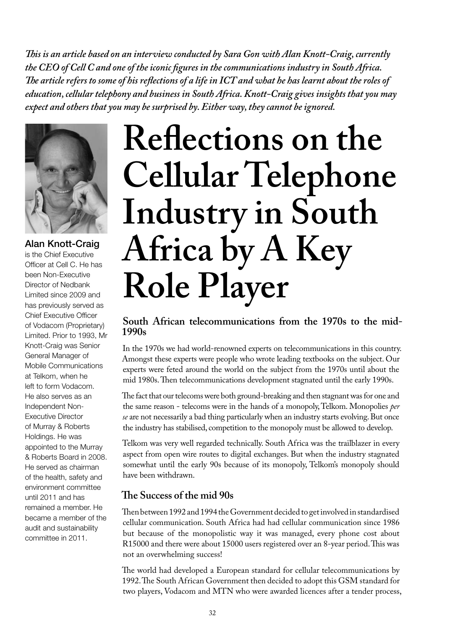*This is an article based on an interview conducted by Sara Gon with Alan Knott-Craig, currently the CEO of Cell C and one of the iconic figures in the communications industry in South Africa. The article refers to some of his reflections of a life in ICT and what he has learnt about the roles of education, cellular telephony and business in South Africa. Knott-Craig gives insights that you may expect and others that you may be surprised by. Either way, they cannot be ignored.* 



# Alan Knott-Craig

is the Chief Executive Officer at Cell C. He has been Non-Executive Director of Nedbank Limited since 2009 and has previously served as Chief Executive Officer of Vodacom (Proprietary) Limited. Prior to 1993, Mr Knott-Craig was Senior General Manager of Mobile Communications at Telkom, when he left to form Vodacom. He also serves as an Independent Non-Executive Director of Murray & Roberts Holdings. He was appointed to the Murray & Roberts Board in 2008. He served as chairman of the health, safety and environment committee until 2011 and has remained a member. He became a member of the audit and sustainability committee in 2011.

# **Reflections on the Cellular Telephone Industry in South Africa by A Key Role Player**

## **South African telecommunications from the 1970s to the mid-1990s**

In the 1970s we had world-renowned experts on telecommunications in this country. Amongst these experts were people who wrote leading textbooks on the subject. Our experts were feted around the world on the subject from the 1970s until about the mid 1980s. Then telecommunications development stagnated until the early 1990s.

The fact that our telecoms were both ground-breaking and then stagnant was for one and the same reason - telecoms were in the hands of a monopoly, Telkom. Monopolies *per se* are not necessarily a bad thing particularly when an industry starts evolving. But once the industry has stabilised, competition to the monopoly must be allowed to develop.

Telkom was very well regarded technically. South Africa was the trailblazer in every aspect from open wire routes to digital exchanges. But when the industry stagnated somewhat until the early 90s because of its monopoly, Telkom's monopoly should have been withdrawn.

# **The Success of the mid 90s**

Then between 1992 and 1994 the Government decided to get involved in standardised cellular communication. South Africa had had cellular communication since 1986 but because of the monopolistic way it was managed, every phone cost about R15000 and there were about 15000 users registered over an 8-year period. This was not an overwhelming success!

The world had developed a European standard for cellular telecommunications by 1992. The South African Government then decided to adopt this GSM standard for two players, Vodacom and MTN who were awarded licences after a tender process,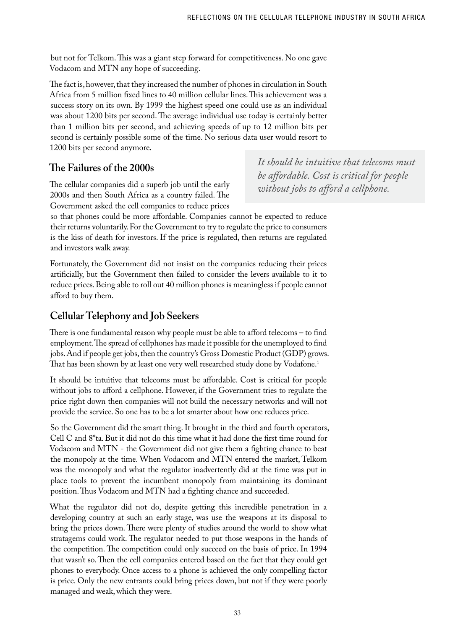but not for Telkom. This was a giant step forward for competitiveness. No one gave Vodacom and MTN any hope of succeeding.

The fact is, however, that they increased the number of phones in circulation in South Africa from 5 million fixed lines to 40 million cellular lines. This achievement was a success story on its own. By 1999 the highest speed one could use as an individual was about 1200 bits per second. The average individual use today is certainly better than 1 million bits per second, and achieving speeds of up to 12 million bits per second is certainly possible some of the time. No serious data user would resort to 1200 bits per second anymore.

## **The Failures of the 2000s**

The cellular companies did a superb job until the early 2000s and then South Africa as a country failed. The Government asked the cell companies to reduce prices

*It should be intuitive that telecoms must be affordable. Cost is critical for people without jobs to afford a cellphone.* 

so that phones could be more affordable. Companies cannot be expected to reduce their returns voluntarily. For the Government to try to regulate the price to consumers is the kiss of death for investors. If the price is regulated, then returns are regulated and investors walk away.

Fortunately, the Government did not insist on the companies reducing their prices artificially, but the Government then failed to consider the levers available to it to reduce prices. Being able to roll out 40 million phones is meaningless if people cannot afford to buy them.

# **Cellular Telephony and Job Seekers**

There is one fundamental reason why people must be able to afford telecoms – to find employment. The spread of cellphones has made it possible for the unemployed to find jobs. And if people get jobs, then the country's Gross Domestic Product (GDP) grows. That has been shown by at least one very well researched study done by Vodafone.<sup>1</sup>

It should be intuitive that telecoms must be affordable. Cost is critical for people without jobs to afford a cellphone. However, if the Government tries to regulate the price right down then companies will not build the necessary networks and will not provide the service. So one has to be a lot smarter about how one reduces price.

So the Government did the smart thing. It brought in the third and fourth operators, Cell C and 8\*ta. But it did not do this time what it had done the first time round for Vodacom and MTN - the Government did not give them a fighting chance to beat the monopoly at the time. When Vodacom and MTN entered the market, Telkom was the monopoly and what the regulator inadvertently did at the time was put in place tools to prevent the incumbent monopoly from maintaining its dominant position. Thus Vodacom and MTN had a fighting chance and succeeded.

What the regulator did not do, despite getting this incredible penetration in a developing country at such an early stage, was use the weapons at its disposal to bring the prices down. There were plenty of studies around the world to show what stratagems could work. The regulator needed to put those weapons in the hands of the competition. The competition could only succeed on the basis of price. In 1994 that wasn't so. Then the cell companies entered based on the fact that they could get phones to everybody. Once access to a phone is achieved the only compelling factor is price. Only the new entrants could bring prices down, but not if they were poorly managed and weak, which they were.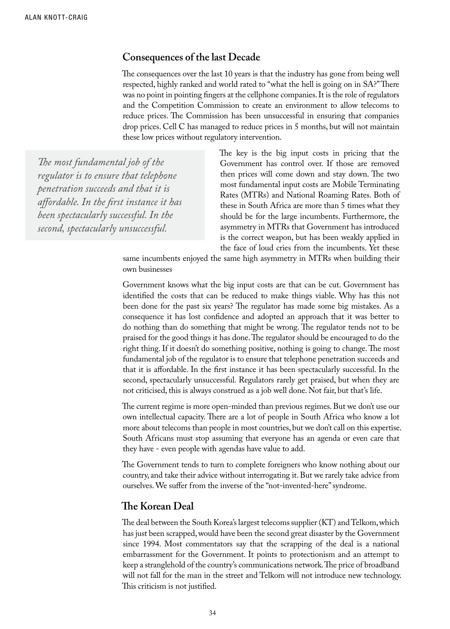#### **Consequences of the last Decade**

The consequences over the last 10 years is that the industry has gone from being well respected, highly ranked and world rated to "what the hell is going on in SA?" There was no point in pointing fingers at the cellphone companies. It is the role of regulators and the Competition Commission to create an environment to allow telecoms to reduce prices. The Commission has been unsuccessful in ensuring that companies drop prices. Cell C has managed to reduce prices in 5 months, but will not maintain these low prices without regulatory intervention.

*The most fundamental job of the regulator is to ensure that telephone penetration succeeds and that it is affordable. In the first instance it has been spectacularly successful. In the second, spectacularly unsuccessful.* 

The key is the big input costs in pricing that the Government has control over. If those are removed then prices will come down and stay down. The two most fundamental input costs are Mobile Terminating Rates (MTRs) and National Roaming Rates. Both of these in South Africa are more than 5 times what they should be for the large incumbents. Furthermore, the asymmetry in MTRs that Government has introduced is the correct weapon, but has been weakly applied in the face of loud cries from the incumbents. Yet these

same incumbents enjoyed the same high asymmetry in MTRs when building their own businesses

Government knows what the big input costs are that can be cut. Government has identified the costs that can be reduced to make things viable. Why has this not been done for the past six years? The regulator has made some big mistakes. As a consequence it has lost confidence and adopted an approach that it was better to do nothing than do something that might be wrong. The regulator tends not to be praised for the good things it has done. The regulator should be encouraged to do the right thing. If it doesn't do something positive, nothing is going to change. The most fundamental job of the regulator is to ensure that telephone penetration succeeds and that it is affordable. In the first instance it has been spectacularly successful. In the second, spectacularly unsuccessful. Regulators rarely get praised, but when they are not criticised, this is always construed as a job well done. Not fair, but that's life.

The current regime is more open-minded than previous regimes. But we don't use our own intellectual capacity. There are a lot of people in South Africa who know a lot more about telecoms than people in most countries, but we don't call on this expertise. South Africans must stop assuming that everyone has an agenda or even care that they have - even people with agendas have value to add.

The Government tends to turn to complete foreigners who know nothing about our country, and take their advice without interrogating it. But we rarely take advice from ourselves. We suffer from the inverse of the "not-invented-here" syndrome.

#### **The Korean Deal**

The deal between the South Korea's largest telecoms supplier (KT) and Telkom, which has just been scrapped, would have been the second great disaster by the Government since 1994. Most commentators say that the scrapping of the deal is a national embarrassment for the Government. It points to protectionism and an attempt to keep a stranglehold of the country's communications network. The price of broadband will not fall for the man in the street and Telkom will not introduce new technology. This criticism is not justified.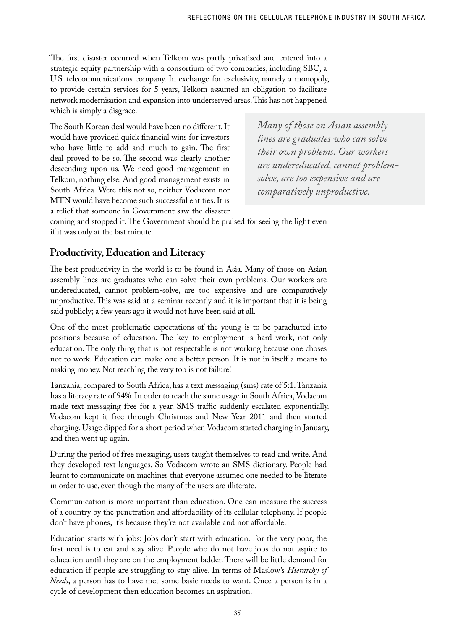`The first disaster occurred when Telkom was partly privatised and entered into a strategic equity partnership with a consortium of two companies, including SBC, a U.S. telecommunications company. In exchange for exclusivity, namely a monopoly, to provide certain services for 5 years, Telkom assumed an obligation to facilitate network modernisation and expansion into underserved areas. This has not happened which is simply a disgrace.

The South Korean deal would have been no different. It would have provided quick financial wins for investors who have little to add and much to gain. The first deal proved to be so. The second was clearly another descending upon us. We need good management in Telkom, nothing else. And good management exists in South Africa. Were this not so, neither Vodacom nor MTN would have become such successful entities. It is a relief that someone in Government saw the disaster *Many of those on Asian assembly lines are graduates who can solve their own problems. Our workers are undereducated, cannot problemsolve, are too expensive and are comparatively unproductive.*

coming and stopped it. The Government should be praised for seeing the light even if it was only at the last minute.

# **Productivity, Education and Literacy**

The best productivity in the world is to be found in Asia. Many of those on Asian assembly lines are graduates who can solve their own problems. Our workers are undereducated, cannot problem-solve, are too expensive and are comparatively unproductive. This was said at a seminar recently and it is important that it is being said publicly; a few years ago it would not have been said at all.

One of the most problematic expectations of the young is to be parachuted into positions because of education. The key to employment is hard work, not only education. The only thing that is not respectable is not working because one choses not to work. Education can make one a better person. It is not in itself a means to making money. Not reaching the very top is not failure!

Tanzania, compared to South Africa, has a text messaging (sms) rate of 5:1. Tanzania has a literacy rate of 94%. In order to reach the same usage in South Africa, Vodacom made text messaging free for a year. SMS traffic suddenly escalated exponentially. Vodacom kept it free through Christmas and New Year 2011 and then started charging. Usage dipped for a short period when Vodacom started charging in January, and then went up again.

During the period of free messaging, users taught themselves to read and write. And they developed text languages. So Vodacom wrote an SMS dictionary. People had learnt to communicate on machines that everyone assumed one needed to be literate in order to use, even though the many of the users are illiterate.

Communication is more important than education. One can measure the success of a country by the penetration and affordability of its cellular telephony. If people don't have phones, it's because they're not available and not affordable.

Education starts with jobs: Jobs don't start with education. For the very poor, the first need is to eat and stay alive. People who do not have jobs do not aspire to education until they are on the employment ladder. There will be little demand for education if people are struggling to stay alive. In terms of Maslow's *Hierarchy of Needs*, a person has to have met some basic needs to want. Once a person is in a cycle of development then education becomes an aspiration.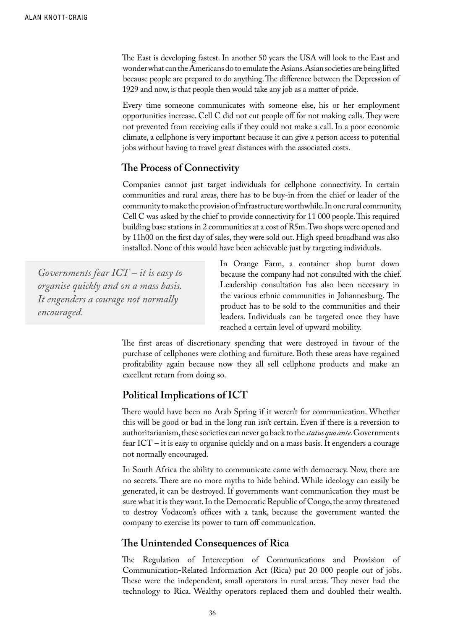The East is developing fastest. In another 50 years the USA will look to the East and wonder what can the Americans do to emulate the Asians. Asian societies are being lifted because people are prepared to do anything. The difference between the Depression of 1929 and now, is that people then would take any job as a matter of pride.

Every time someone communicates with someone else, his or her employment opportunities increase. Cell C did not cut people off for not making calls. They were not prevented from receiving calls if they could not make a call. In a poor economic climate, a cellphone is very important because it can give a person access to potential jobs without having to travel great distances with the associated costs.

## **The Process of Connectivity**

Companies cannot just target individuals for cellphone connectivity. In certain communities and rural areas, there has to be buy-in from the chief or leader of the community to make the provision of infrastructure worthwhile. In one rural community, Cell C was asked by the chief to provide connectivity for 11 000 people. This required building base stations in 2 communities at a cost of R5m. Two shops were opened and by 11h00 on the first day of sales, they were sold out. High speed broadband was also installed. None of this would have been achievable just by targeting individuals.

*Governments fear ICT – it is easy to organise quickly and on a mass basis. It engenders a courage not normally encouraged.* 

In Orange Farm, a container shop burnt down because the company had not consulted with the chief. Leadership consultation has also been necessary in the various ethnic communities in Johannesburg. The product has to be sold to the communities and their leaders. Individuals can be targeted once they have reached a certain level of upward mobility.

The first areas of discretionary spending that were destroyed in favour of the purchase of cellphones were clothing and furniture. Both these areas have regained profitability again because now they all sell cellphone products and make an excellent return from doing so.

## **Political Implications of ICT**

There would have been no Arab Spring if it weren't for communication. Whether this will be good or bad in the long run isn't certain. Even if there is a reversion to authoritarianism, these societies can never go back to the *status quo ante*. Governments fear ICT – it is easy to organise quickly and on a mass basis. It engenders a courage not normally encouraged.

In South Africa the ability to communicate came with democracy. Now, there are no secrets. There are no more myths to hide behind. While ideology can easily be generated, it can be destroyed. If governments want communication they must be sure what it is they want. In the Democratic Republic of Congo, the army threatened to destroy Vodacom's offices with a tank, because the government wanted the company to exercise its power to turn off communication.

## **The Unintended Consequences of Rica**

The Regulation of Interception of Communications and Provision of Communication-Related Information Act (Rica) put 20 000 people out of jobs. These were the independent, small operators in rural areas. They never had the technology to Rica. Wealthy operators replaced them and doubled their wealth.